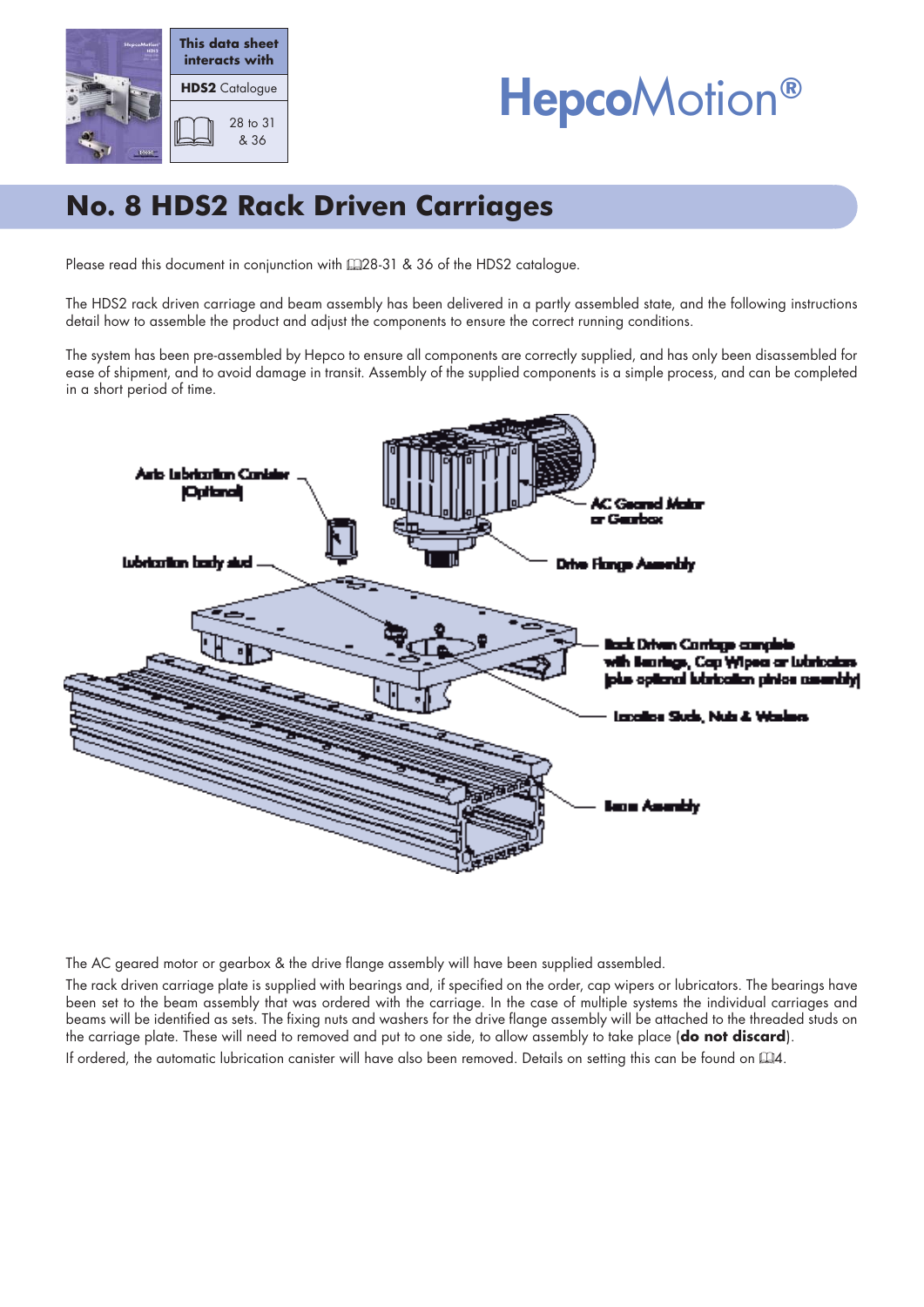

# HepcoMotion**®**

## **No. 8 HDS2 Rack Driven Carriages**

Please read this document in conjunction with  $\Box$ 28-31 & 36 of the HDS2 catalogue.

The HDS2 rack driven carriage and beam assembly has been delivered in a partly assembled state, and the following instructions detail how to assemble the product and adjust the components to ensure the correct running conditions.

The system has been pre-assembled by Hepco to ensure all components are correctly supplied, and has only been disassembled for ease of shipment, and to avoid damage in transit. Assembly of the supplied components is a simple process, and can be completed in a short period of time.



The AC geared motor or gearbox & the drive flange assembly will have been supplied assembled.

The rack driven carriage plate is supplied with bearings and, if specified on the order, cap wipers or lubricators. The bearings have been set to the beam assembly that was ordered with the carriage. In the case of multiple systems the individual carriages and beams will be identified as sets. The fixing nuts and washers for the drive flange assembly will be attached to the threaded studs on the carriage plate. These will need to removed and put to one side, to allow assembly to take place (**do not discard**).

If ordered, the automatic lubrication canister will have also been removed. Details on setting this can be found on  $\Box A$ .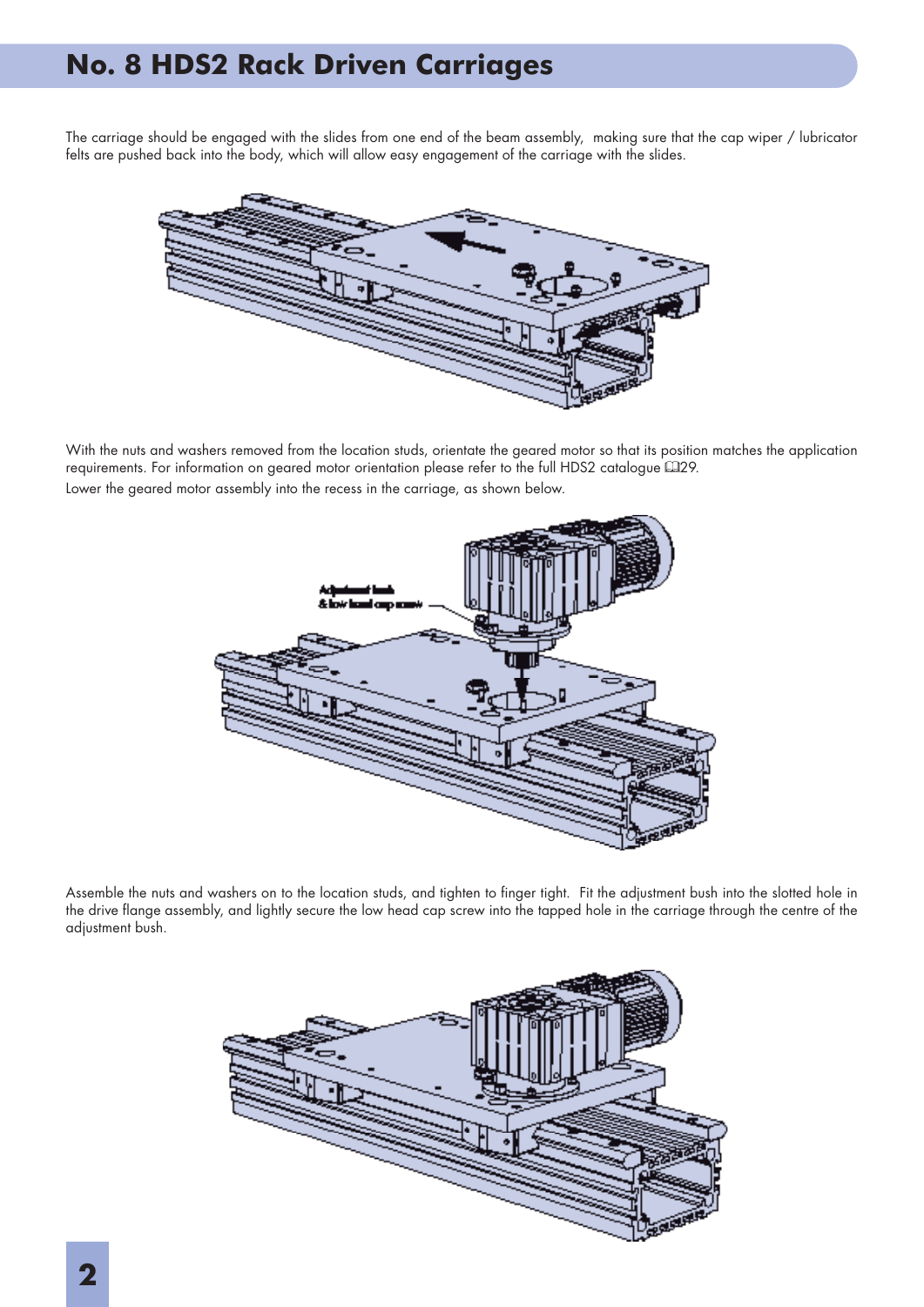#### **No. 8 HDS2 Rack Driven Carriages**

The carriage should be engaged with the slides from one end of the beam assembly, making sure that the cap wiper / lubricator felts are pushed back into the body, which will allow easy engagement of the carriage with the slides.



With the nuts and washers removed from the location studs, orientate the geared motor so that its position matches the application requirements. For information on geared motor orientation please refer to the full HDS2 catalogue 429. Lower the geared motor assembly into the recess in the carriage, as shown below.



Assemble the nuts and washers on to the location studs, and tighten to finger tight. Fit the adjustment bush into the slotted hole in the drive flange assembly, and lightly secure the low head cap screw into the tapped hole in the carriage through the centre of the adjustment bush.

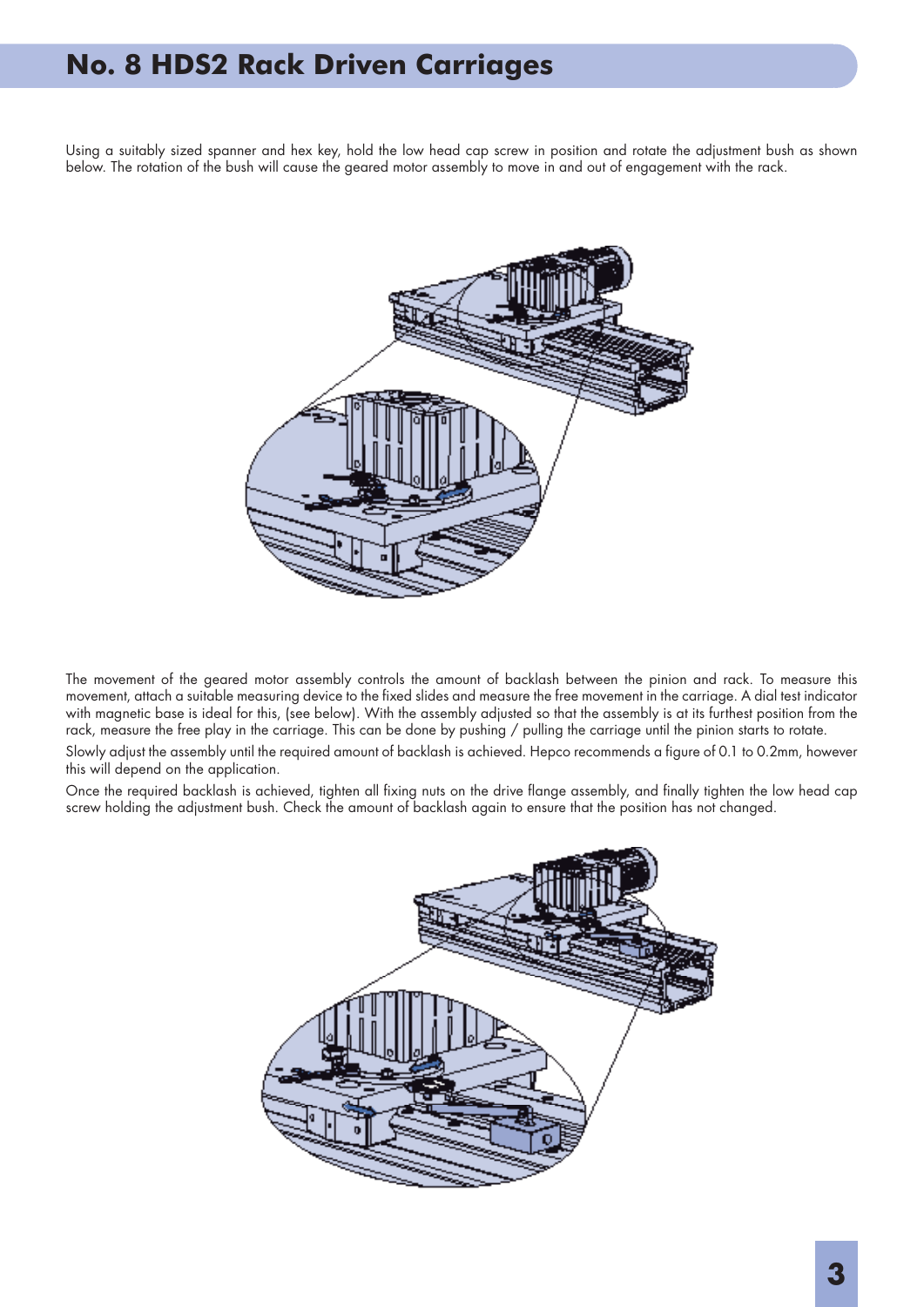#### **No. 8 HDS2 Rack Driven Carriages**

Using a suitably sized spanner and hex key, hold the low head cap screw in position and rotate the adjustment bush as shown below. The rotation of the bush will cause the geared motor assembly to move in and out of engagement with the rack.



The movement of the geared motor assembly controls the amount of backlash between the pinion and rack. To measure this movement, attach a suitable measuring device to the fixed slides and measure the free movement in the carriage. A dial test indicator with magnetic base is ideal for this, (see below). With the assembly adjusted so that the assembly is at its furthest position from the rack, measure the free play in the carriage. This can be done by pushing / pulling the carriage until the pinion starts to rotate.

Slowly adjust the assembly until the required amount of backlash is achieved. Hepco recommends a figure of 0.1 to 0.2mm, however this will depend on the application.

Once the required backlash is achieved, tighten all fixing nuts on the drive flange assembly, and finally tighten the low head cap screw holding the adjustment bush. Check the amount of backlash again to ensure that the position has not changed.